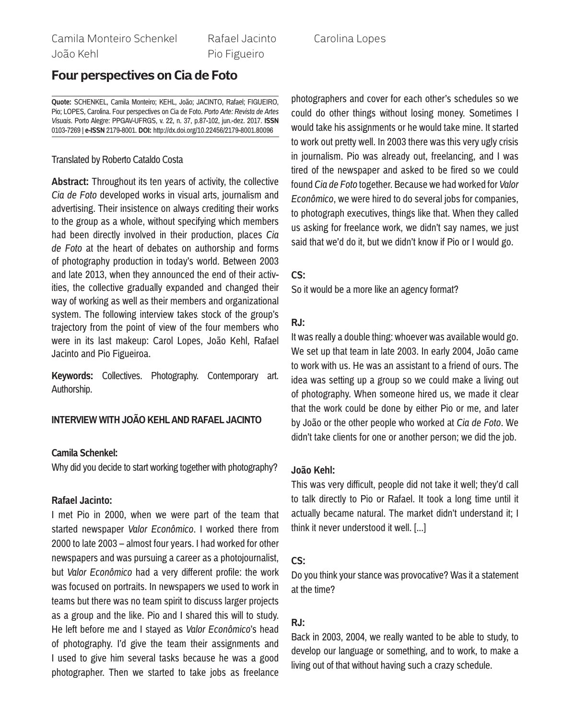Rafael Jacinto Pio Figueiro

# **Four perspectives on Cia de Foto**

**Quote:** SCHENKEL, Camila Monteiro; KEHL, João; JACINTO, Rafael; FIGUEIRO, Pio; LOPES, Carolina. Four perspectives on Cia de Foto. *Porto Arte: Revista de Artes Visuais*. Porto Alegre: PPGAV-UFRGS, v. 22, n. 37, p.87-102, jun.-dez. 2017. **ISSN** 0103-7269 | **e-ISSN** 2179-8001. **DOI:** http://dx.doi.org/10.22456/2179-8001.80096

### Translated by Roberto Cataldo Costa

**Abstract:** Throughout its ten years of activity, the collective *Cia de Foto* developed works in visual arts, journalism and advertising. Their insistence on always crediting their works to the group as a whole, without specifying which members had been directly involved in their production, places *Cia de Foto* at the heart of debates on authorship and forms of photography production in today's world. Between 2003 and late 2013, when they announced the end of their activities, the collective gradually expanded and changed their way of working as well as their members and organizational system. The following interview takes stock of the group's trajectory from the point of view of the four members who were in its last makeup: Carol Lopes, João Kehl, Rafael Jacinto and Pio Figueiroa.

**Keywords:** Collectives. Photography. Contemporary art. Authorship.

## **Interview with João Kehl and Rafael Jacinto**

### **Camila Schenkel:**

Why did you decide to start working together with photography?

### **Rafael Jacinto:**

I met Pio in 2000, when we were part of the team that started newspaper *Valor Econômico*. I worked there from 2000 to late 2003 – almost four years. I had worked for other newspapers and was pursuing a career as a photojournalist, but *Valor Econômico* had a very different profile: the work was focused on portraits. In newspapers we used to work in teams but there was no team spirit to discuss larger projects as a group and the like. Pio and I shared this will to study. He left before me and I stayed as *Valor Econômico*'s head of photography. I'd give the team their assignments and I used to give him several tasks because he was a good photographer. Then we started to take jobs as freelance Carolina Lopes

photographers and cover for each other's schedules so we could do other things without losing money. Sometimes I would take his assignments or he would take mine. It started to work out pretty well. In 2003 there was this very ugly crisis in journalism. Pio was already out, freelancing, and I was tired of the newspaper and asked to be fired so we could found *Cia de Foto* together. Because we had worked for *Valor Econômico*, we were hired to do several jobs for companies, to photograph executives, things like that. When they called us asking for freelance work, we didn't say names, we just said that we'd do it, but we didn't know if Pio or I would go.

## **CS:**

So it would be a more like an agency format?

## **RJ:**

It was really a double thing: whoever was available would go. We set up that team in late 2003. In early 2004, João came to work with us. He was an assistant to a friend of ours. The idea was setting up a group so we could make a living out of photography. When someone hired us, we made it clear that the work could be done by either Pio or me, and later by João or the other people who worked at *Cia de Foto*. We didn't take clients for one or another person; we did the job.

## **João Kehl:**

This was very difficult, people did not take it well; they'd call to talk directly to Pio or Rafael. It took a long time until it actually became natural. The market didn't understand it; I think it never understood it well. [...]

## **CS:**

Do you think your stance was provocative? Was it a statement at the time?

## **RJ:**

Back in 2003, 2004, we really wanted to be able to study, to develop our language or something, and to work, to make a living out of that without having such a crazy schedule.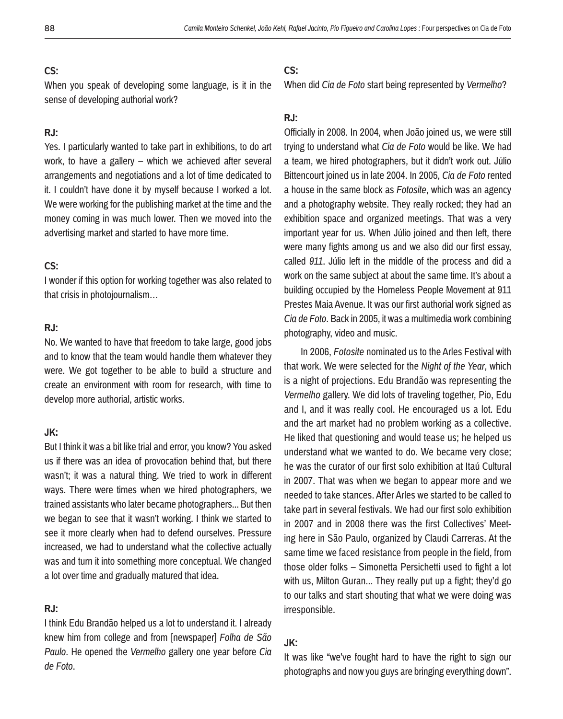When you speak of developing some language, is it in the sense of developing authorial work?

## **RJ:**

Yes. I particularly wanted to take part in exhibitions, to do art work, to have a gallery – which we achieved after several arrangements and negotiations and a lot of time dedicated to it. I couldn't have done it by myself because I worked a lot. We were working for the publishing market at the time and the money coming in was much lower. Then we moved into the advertising market and started to have more time.

## **CS:**

I wonder if this option for working together was also related to that crisis in photojournalism…

## **RJ:**

No. We wanted to have that freedom to take large, good jobs and to know that the team would handle them whatever they were. We got together to be able to build a structure and create an environment with room for research, with time to develop more authorial, artistic works.

### **JK:**

But I think it was a bit like trial and error, you know? You asked us if there was an idea of provocation behind that, but there wasn't; it was a natural thing. We tried to work in different ways. There were times when we hired photographers, we trained assistants who later became photographers... But then we began to see that it wasn't working. I think we started to see it more clearly when had to defend ourselves. Pressure increased, we had to understand what the collective actually was and turn it into something more conceptual. We changed a lot over time and gradually matured that idea.

## **RJ:**

I think Edu Brandão helped us a lot to understand it. I already knew him from college and from [newspaper] *Folha de São Paulo*. He opened the *Vermelho* gallery one year before *Cia de Foto*.

## **CS:**

When did *Cia de Foto* start being represented by *Vermelho*?

## **RJ:**

Officially in 2008. In 2004, when João joined us, we were still trying to understand what *Cia de Foto* would be like. We had a team, we hired photographers, but it didn't work out. Júlio Bittencourt joined us in late 2004. In 2005, *Cia de Foto* rented a house in the same block as *Fotosite*, which was an agency and a photography website. They really rocked; they had an exhibition space and organized meetings. That was a very important year for us. When Júlio joined and then left, there were many fights among us and we also did our first essay, called *911*. Júlio left in the middle of the process and did a work on the same subject at about the same time. It's about a building occupied by the Homeless People Movement at 911 Prestes Maia Avenue. It was our first authorial work signed as *Cia de Foto*. Back in 2005, it was a multimedia work combining photography, video and music.

In 2006, *Fotosite* nominated us to the Arles Festival with that work. We were selected for the *Night of the Year*, which is a night of projections. Edu Brandão was representing the *Vermelho* gallery. We did lots of traveling together, Pio, Edu and I, and it was really cool. He encouraged us a lot. Edu and the art market had no problem working as a collective. He liked that questioning and would tease us; he helped us understand what we wanted to do. We became very close; he was the curator of our first solo exhibition at Itaú Cultural in 2007. That was when we began to appear more and we needed to take stances. After Arles we started to be called to take part in several festivals. We had our first solo exhibition in 2007 and in 2008 there was the first Collectives' Meeting here in São Paulo, organized by Claudi Carreras. At the same time we faced resistance from people in the field, from those older folks – Simonetta Persichetti used to fight a lot with us, Milton Guran... They really put up a fight; they'd go to our talks and start shouting that what we were doing was irresponsible.

## **JK:**

It was like "we've fought hard to have the right to sign our photographs and now you guys are bringing everything down".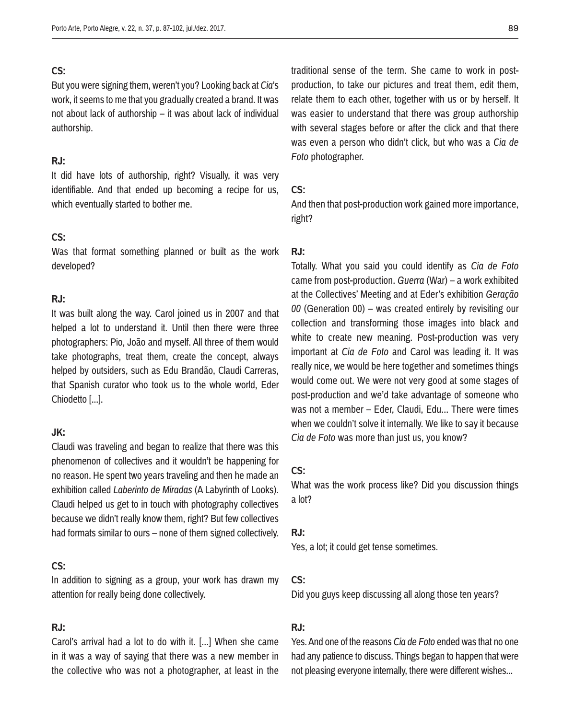But you were signing them, weren't you? Looking back at *Cia*'s work, it seems to me that you gradually created a brand. It was not about lack of authorship – it was about lack of individual authorship.

### **RJ:**

It did have lots of authorship, right? Visually, it was very identifiable. And that ended up becoming a recipe for us, which eventually started to bother me.

## **CS:**

Was that format something planned or built as the work developed?

## **RJ:**

It was built along the way. Carol joined us in 2007 and that helped a lot to understand it. Until then there were three photographers: Pio, João and myself. All three of them would take photographs, treat them, create the concept, always helped by outsiders, such as Edu Brandão, Claudi Carreras, that Spanish curator who took us to the whole world, Eder Chiodetto [...].

### **JK:**

Claudi was traveling and began to realize that there was this phenomenon of collectives and it wouldn't be happening for no reason. He spent two years traveling and then he made an exhibition called *Laberinto de Miradas* (A Labyrinth of Looks). Claudi helped us get to in touch with photography collectives because we didn't really know them, right? But few collectives had formats similar to ours – none of them signed collectively.

## **CS:**

In addition to signing as a group, your work has drawn my attention for really being done collectively.

## **RJ:**

Carol's arrival had a lot to do with it. [...] When she came in it was a way of saying that there was a new member in the collective who was not a photographer, at least in the traditional sense of the term. She came to work in postproduction, to take our pictures and treat them, edit them, relate them to each other, together with us or by herself. It was easier to understand that there was group authorship with several stages before or after the click and that there was even a person who didn't click, but who was a *Cia de Foto* photographer.

### **CS:**

And then that post-production work gained more importance, right?

#### **RJ:**

Totally. What you said you could identify as *Cia de Foto* came from post-production. *Guerra* (War) – a work exhibited at the Collectives' Meeting and at Eder's exhibition *Geração 00* (Generation 00) – was created entirely by revisiting our collection and transforming those images into black and white to create new meaning. Post-production was very important at *Cia de Foto* and Carol was leading it. It was really nice, we would be here together and sometimes things would come out. We were not very good at some stages of post-production and we'd take advantage of someone who was not a member – Eder, Claudi, Edu... There were times when we couldn't solve it internally. We like to say it because *Cia de Foto* was more than just us, you know?

## **CS:**

What was the work process like? Did you discussion things a lot?

#### **RJ:**

Yes, a lot; it could get tense sometimes.

## **CS:**

Did you guys keep discussing all along those ten years?

## **RJ:**

Yes. And one of the reasons *Cia de Foto* ended was that no one had any patience to discuss. Things began to happen that were not pleasing everyone internally, there were different wishes...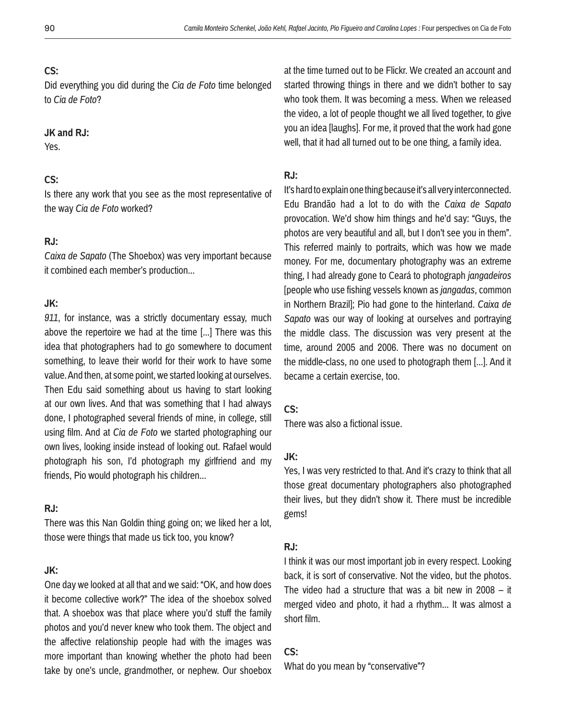Did everything you did during the *Cia de Foto* time belonged to *Cia de Foto*?

### **JK and RJ:**

Yes.

## **CS:**

Is there any work that you see as the most representative of the way *Cia de Foto* worked?

## **RJ:**

*Caixa de Sapato* (The Shoebox) was very important because it combined each member's production...

## **JK:**

*911*, for instance, was a strictly documentary essay, much above the repertoire we had at the time [...] There was this idea that photographers had to go somewhere to document something, to leave their world for their work to have some value. And then, at some point, we started looking at ourselves. Then Edu said something about us having to start looking at our own lives. And that was something that I had always done, I photographed several friends of mine, in college, still using film. And at *Cia de Foto* we started photographing our own lives, looking inside instead of looking out. Rafael would photograph his son, I'd photograph my girlfriend and my friends, Pio would photograph his children...

## **RJ:**

There was this Nan Goldin thing going on; we liked her a lot, those were things that made us tick too, you know?

## **JK:**

One day we looked at all that and we said: "OK, and how does it become collective work?" The idea of the shoebox solved that. A shoebox was that place where you'd stuff the family photos and you'd never knew who took them. The object and the affective relationship people had with the images was more important than knowing whether the photo had been take by one's uncle, grandmother, or nephew. Our shoebox at the time turned out to be Flickr. We created an account and started throwing things in there and we didn't bother to say who took them. It was becoming a mess. When we released the video, a lot of people thought we all lived together, to give you an idea [laughs]. For me, it proved that the work had gone well, that it had all turned out to be one thing, a family idea.

### **RJ:**

It's hard to explain one thing because it's all very interconnected. Edu Brandão had a lot to do with the *Caixa de Sapato* provocation. We'd show him things and he'd say: "Guys, the photos are very beautiful and all, but I don't see you in them". This referred mainly to portraits, which was how we made money. For me, documentary photography was an extreme thing, I had already gone to Ceará to photograph *jangadeiros* [people who use fishing vessels known as *jangadas*, common in Northern Brazil]; Pio had gone to the hinterland. *Caixa de Sapato* was our way of looking at ourselves and portraying the middle class. The discussion was very present at the time, around 2005 and 2006. There was no document on the middle-class, no one used to photograph them [...]. And it became a certain exercise, too.

## **CS:**

There was also a fictional issue.

## **JK:**

Yes, I was very restricted to that. And it's crazy to think that all those great documentary photographers also photographed their lives, but they didn't show it. There must be incredible gems!

### **RJ:**

I think it was our most important job in every respect. Looking back, it is sort of conservative. Not the video, but the photos. The video had a structure that was a bit new in 2008 – it merged video and photo, it had a rhythm... It was almost a short film.

## **CS:**

What do you mean by "conservative"?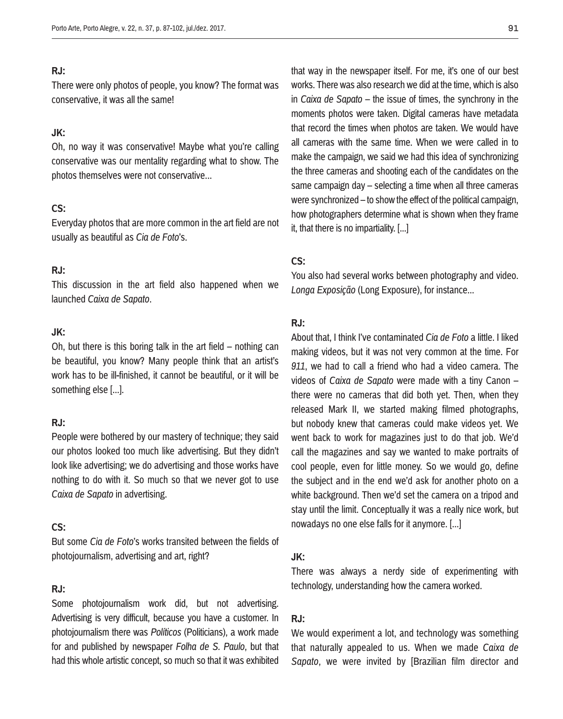### **RJ:**

There were only photos of people, you know? The format was conservative, it was all the same!

## **JK:**

Oh, no way it was conservative! Maybe what you're calling conservative was our mentality regarding what to show. The photos themselves were not conservative...

## **CS:**

Everyday photos that are more common in the art field are not usually as beautiful as *Cia de Foto*'s.

## **RJ:**

This discussion in the art field also happened when we launched *Caixa de Sapato*.

## **JK:**

Oh, but there is this boring talk in the art field – nothing can be beautiful, you know? Many people think that an artist's work has to be ill-finished, it cannot be beautiful, or it will be something else [...].

## **RJ:**

People were bothered by our mastery of technique; they said our photos looked too much like advertising. But they didn't look like advertising; we do advertising and those works have nothing to do with it. So much so that we never got to use *Caixa de Sapato* in advertising.

## **CS:**

But some *Cia de Foto*'s works transited between the fields of photojournalism, advertising and art, right?

## **RJ:**

Some photojournalism work did, but not advertising. Advertising is very difficult, because you have a customer. In photojournalism there was *Políticos* (Politicians), a work made for and published by newspaper *Folha de S. Paulo*, but that had this whole artistic concept, so much so that it was exhibited that way in the newspaper itself. For me, it's one of our best works. There was also research we did at the time, which is also in *Caixa de Sapato* – the issue of times, the synchrony in the moments photos were taken. Digital cameras have metadata that record the times when photos are taken. We would have all cameras with the same time. When we were called in to make the campaign, we said we had this idea of synchronizing the three cameras and shooting each of the candidates on the same campaign day – selecting a time when all three cameras were synchronized – to show the effect of the political campaign, how photographers determine what is shown when they frame it, that there is no impartiality. [...]

### **CS:**

You also had several works between photography and video. *Longa Exposição* (Long Exposure), for instance...

## **RJ:**

About that, I think I've contaminated *Cia de Foto* a little. I liked making videos, but it was not very common at the time. For *911*, we had to call a friend who had a video camera. The videos of *Caixa de Sapato* were made with a tiny Canon – there were no cameras that did both yet. Then, when they released Mark II, we started making filmed photographs, but nobody knew that cameras could make videos yet. We went back to work for magazines just to do that job. We'd call the magazines and say we wanted to make portraits of cool people, even for little money. So we would go, define the subject and in the end we'd ask for another photo on a white background. Then we'd set the camera on a tripod and stay until the limit. Conceptually it was a really nice work, but nowadays no one else falls for it anymore. [...]

### **JK:**

There was always a nerdy side of experimenting with technology, understanding how the camera worked.

## **RJ:**

We would experiment a lot, and technology was something that naturally appealed to us. When we made *Caixa de Sapato*, we were invited by [Brazilian film director and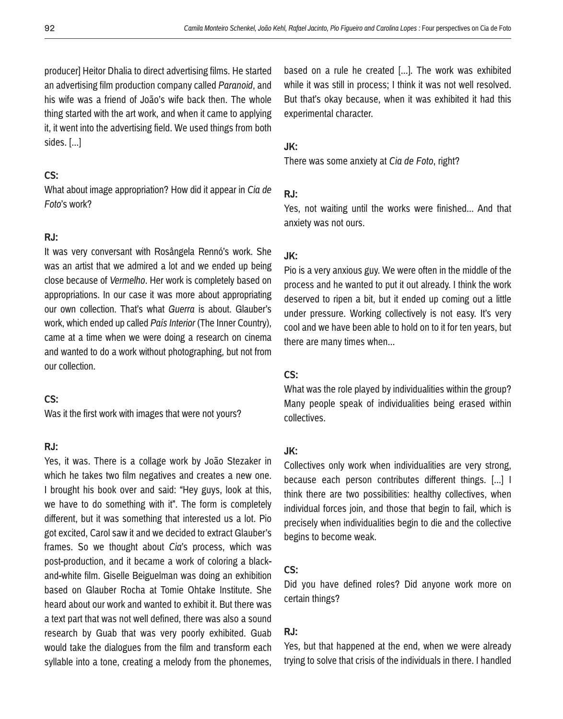producer] Heitor Dhalia to direct advertising films. He started an advertising film production company called *Paranoid*, and his wife was a friend of João's wife back then. The whole thing started with the art work, and when it came to applying it, it went into the advertising field. We used things from both sides. [...]

## **CS:**

What about image appropriation? How did it appear in *Cia de Foto*'s work?

## **RJ:**

It was very conversant with Rosângela Rennó's work. She was an artist that we admired a lot and we ended up being close because of *Vermelho*. Her work is completely based on appropriations. In our case it was more about appropriating our own collection. That's what *Guerra* is about. Glauber's work, which ended up called *País Interior* (The Inner Country), came at a time when we were doing a research on cinema and wanted to do a work without photographing, but not from our collection.

### **CS:**

Was it the first work with images that were not yours?

## **RJ:**

Yes, it was. There is a collage work by João Stezaker in which he takes two film negatives and creates a new one. I brought his book over and said: "Hey guys, look at this, we have to do something with it". The form is completely different, but it was something that interested us a lot. Pio got excited, Carol saw it and we decided to extract Glauber's frames. So we thought about *Cia*'s process, which was post-production, and it became a work of coloring a blackand-white film. Giselle Beiguelman was doing an exhibition based on Glauber Rocha at Tomie Ohtake Institute. She heard about our work and wanted to exhibit it. But there was a text part that was not well defined, there was also a sound research by Guab that was very poorly exhibited. Guab would take the dialogues from the film and transform each syllable into a tone, creating a melody from the phonemes,

based on a rule he created [...]. The work was exhibited while it was still in process; I think it was not well resolved. But that's okay because, when it was exhibited it had this experimental character.

### **JK:**

There was some anxiety at *Cia de Foto*, right?

### **RJ:**

Yes, not waiting until the works were finished... And that anxiety was not ours.

### **JK:**

Pio is a very anxious guy. We were often in the middle of the process and he wanted to put it out already. I think the work deserved to ripen a bit, but it ended up coming out a little under pressure. Working collectively is not easy. It's very cool and we have been able to hold on to it for ten years, but there are many times when...

#### **CS:**

What was the role played by individualities within the group? Many people speak of individualities being erased within collectives.

### **JK:**

Collectives only work when individualities are very strong, because each person contributes different things. [...] I think there are two possibilities: healthy collectives, when individual forces join, and those that begin to fail, which is precisely when individualities begin to die and the collective begins to become weak.

## **CS:**

Did you have defined roles? Did anyone work more on certain things?

### **RJ:**

Yes, but that happened at the end, when we were already trying to solve that crisis of the individuals in there. I handled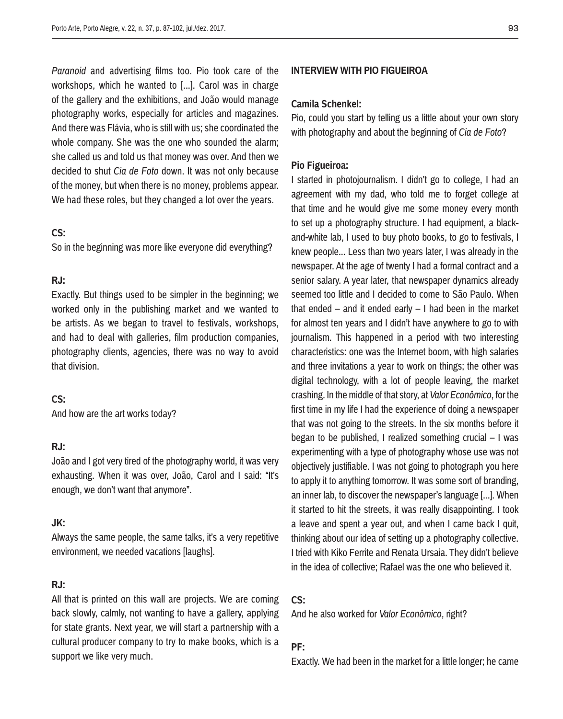*Paranoid* and advertising films too. Pio took care of the workshops, which he wanted to [...]. Carol was in charge of the gallery and the exhibitions, and João would manage photography works, especially for articles and magazines. And there was Flávia, who is still with us; she coordinated the whole company. She was the one who sounded the alarm; she called us and told us that money was over. And then we decided to shut *Cia de Foto* down. It was not only because of the money, but when there is no money, problems appear. We had these roles, but they changed a lot over the years.

## **CS:**

So in the beginning was more like everyone did everything?

### **RJ:**

Exactly. But things used to be simpler in the beginning; we worked only in the publishing market and we wanted to be artists. As we began to travel to festivals, workshops, and had to deal with galleries, film production companies, photography clients, agencies, there was no way to avoid that division.

### **CS:**

And how are the art works today?

## **RJ:**

João and I got very tired of the photography world, it was very exhausting. When it was over, João, Carol and I said: "It's enough, we don't want that anymore".

### **JK:**

Always the same people, the same talks, it's a very repetitive environment, we needed vacations [laughs].

### **RJ:**

All that is printed on this wall are projects. We are coming back slowly, calmly, not wanting to have a gallery, applying for state grants. Next year, we will start a partnership with a cultural producer company to try to make books, which is a support we like very much.

### **Interview with Pio Figueiroa**

#### **Camila Schenkel:**

Pio, could you start by telling us a little about your own story with photography and about the beginning of *Cia de Foto*?

#### **Pio Figueiroa:**

I started in photojournalism. I didn't go to college, I had an agreement with my dad, who told me to forget college at that time and he would give me some money every month to set up a photography structure. I had equipment, a blackand-white lab, I used to buy photo books, to go to festivals, I knew people... Less than two years later, I was already in the newspaper. At the age of twenty I had a formal contract and a senior salary. A year later, that newspaper dynamics already seemed too little and I decided to come to São Paulo. When that ended – and it ended early – I had been in the market for almost ten years and I didn't have anywhere to go to with journalism. This happened in a period with two interesting characteristics: one was the Internet boom, with high salaries and three invitations a year to work on things; the other was digital technology, with a lot of people leaving, the market crashing. In the middle of that story, at *Valor Econômico*, for the first time in my life I had the experience of doing a newspaper that was not going to the streets. In the six months before it began to be published, I realized something crucial – I was experimenting with a type of photography whose use was not objectively justifiable. I was not going to photograph you here to apply it to anything tomorrow. It was some sort of branding, an inner lab, to discover the newspaper's language [...]. When it started to hit the streets, it was really disappointing. I took a leave and spent a year out, and when I came back I quit, thinking about our idea of setting up a photography collective. I tried with Kiko Ferrite and Renata Ursaia. They didn't believe in the idea of collective; Rafael was the one who believed it.

### **CS:**

And he also worked for *Valor Econômico*, right?

## **PF:**

Exactly. We had been in the market for a little longer; he came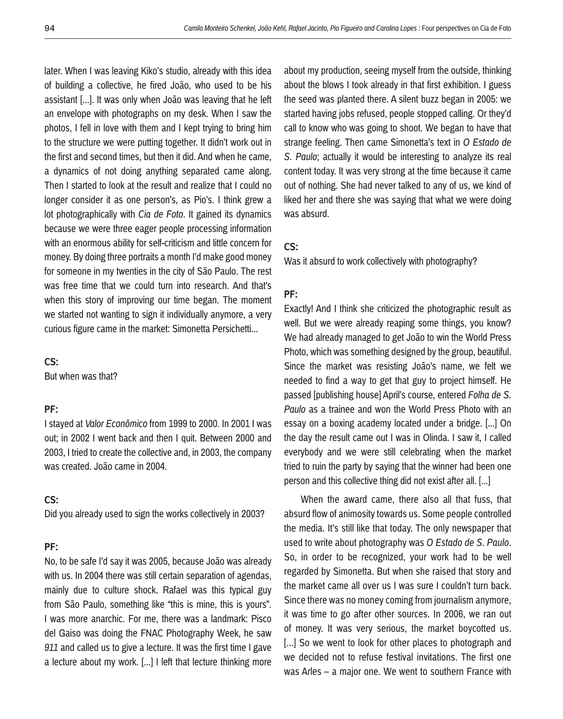later. When I was leaving Kiko's studio, already with this idea of building a collective, he fired João, who used to be his assistant [...]. It was only when João was leaving that he left an envelope with photographs on my desk. When I saw the photos, I fell in love with them and I kept trying to bring him to the structure we were putting together. It didn't work out in the first and second times, but then it did. And when he came, a dynamics of not doing anything separated came along. Then I started to look at the result and realize that I could no longer consider it as one person's, as Pio's. I think grew a lot photographically with *Cia de Foto*. It gained its dynamics because we were three eager people processing information with an enormous ability for self-criticism and little concern for money. By doing three portraits a month I'd make good money for someone in my twenties in the city of São Paulo. The rest was free time that we could turn into research. And that's when this story of improving our time began. The moment we started not wanting to sign it individually anymore, a very curious figure came in the market: Simonetta Persichetti...

### **CS:**

But when was that?

## **PF:**

I stayed at *Valor Econômico* from 1999 to 2000. In 2001 I was out; in 2002 I went back and then I quit. Between 2000 and 2003, I tried to create the collective and, in 2003, the company was created. João came in 2004.

## **CS:**

Did you already used to sign the works collectively in 2003?

#### **PF:**

No, to be safe I'd say it was 2005, because João was already with us. In 2004 there was still certain separation of agendas, mainly due to culture shock. Rafael was this typical guy from São Paulo, something like "this is mine, this is yours". I was more anarchic. For me, there was a landmark: Pisco del Gaiso was doing the FNAC Photography Week, he saw *911* and called us to give a lecture. It was the first time I gave a lecture about my work. [...] I left that lecture thinking more about my production, seeing myself from the outside, thinking about the blows I took already in that first exhibition. I guess the seed was planted there. A silent buzz began in 2005: we started having jobs refused, people stopped calling. Or they'd call to know who was going to shoot. We began to have that strange feeling. Then came Simonetta's text in *O Estado de S. Paulo*; actually it would be interesting to analyze its real content today. It was very strong at the time because it came out of nothing. She had never talked to any of us, we kind of liked her and there she was saying that what we were doing was absurd.

## **CS:**

Was it absurd to work collectively with photography?

## **PF:**

Exactly! And I think she criticized the photographic result as well. But we were already reaping some things, you know? We had already managed to get João to win the World Press Photo, which was something designed by the group, beautiful. Since the market was resisting João's name, we felt we needed to find a way to get that guy to project himself. He passed [publishing house] April's course, entered *Folha de S. Paulo* as a trainee and won the World Press Photo with an essay on a boxing academy located under a bridge. [...] On the day the result came out I was in Olinda. I saw it, I called everybody and we were still celebrating when the market tried to ruin the party by saying that the winner had been one person and this collective thing did not exist after all. [...]

When the award came, there also all that fuss, that absurd flow of animosity towards us. Some people controlled the media. It's still like that today. The only newspaper that used to write about photography was *O Estado de S. Paulo*. So, in order to be recognized, your work had to be well regarded by Simonetta. But when she raised that story and the market came all over us I was sure I couldn't turn back. Since there was no money coming from journalism anymore, it was time to go after other sources. In 2006, we ran out of money. It was very serious, the market boycotted us. [...] So we went to look for other places to photograph and we decided not to refuse festival invitations. The first one was Arles – a major one. We went to southern France with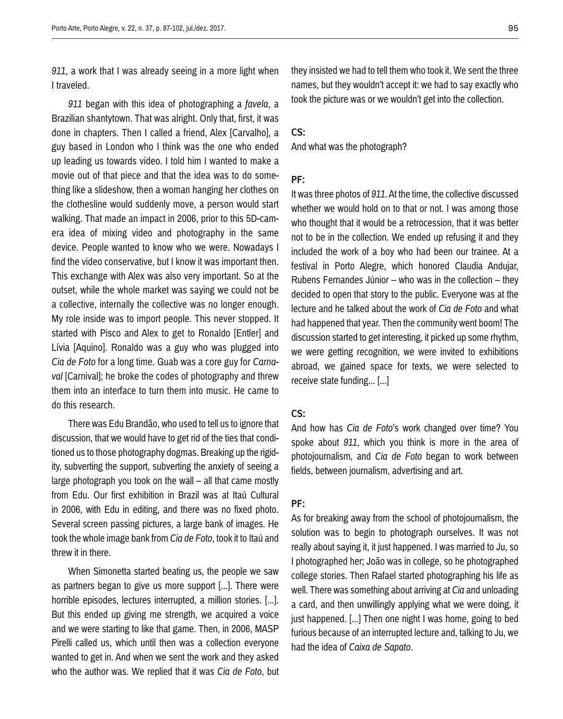*911*, a work that I was already seeing in a more light when I traveled.

*911* began with this idea of photographing a *favela*, a Brazilian shantytown. That was alright. Only that, first, it was done in chapters. Then I called a friend, Alex [Carvalho], a guy based in London who I think was the one who ended up leading us towards video. I told him I wanted to make a movie out of that piece and that the idea was to do something like a slideshow, then a woman hanging her clothes on the clothesline would suddenly move, a person would start walking. That made an impact in 2006, prior to this 5D-camera idea of mixing video and photography in the same device. People wanted to know who we were. Nowadays I find the video conservative, but I know it was important then. This exchange with Alex was also very important. So at the outset, while the whole market was saying we could not be a collective, internally the collective was no longer enough. My role inside was to import people. This never stopped. It started with Pisco and Alex to get to Ronaldo [Entler] and Lívia [Aquino]. Ronaldo was a guy who was plugged into *Cia de Foto* for a long time. Guab was a core guy for *Carnaval* [Carnival]; he broke the codes of photography and threw them into an interface to turn them into music. He came to do this research.

There was Edu Brandão, who used to tell us to ignore that discussion, that we would have to get rid of the ties that conditioned us to those photography dogmas. Breaking up the rigidity, subverting the support, subverting the anxiety of seeing a large photograph you took on the wall – all that came mostly from Edu. Our first exhibition in Brazil was at Itaú Cultural in 2006, with Edu in editing, and there was no fixed photo. Several screen passing pictures, a large bank of images. He took the whole image bank from *Cia de Foto*, took it to Itaú and threw it in there.

When Simonetta started beating us, the people we saw as partners began to give us more support [...]. There were horrible episodes, lectures interrupted, a million stories. [...]. But this ended up giving me strength, we acquired a voice and we were starting to like that game. Then, in 2006, MASP Pirelli called us, which until then was a collection everyone wanted to get in. And when we sent the work and they asked who the author was. We replied that it was *Cia de Foto*, but they insisted we had to tell them who took it. We sent the three names, but they wouldn't accept it: we had to say exactly who took the picture was or we wouldn't get into the collection.

## **CS:**

And what was the photograph?

#### **PF:**

It was three photos of *911*. At the time, the collective discussed whether we would hold on to that or not. I was among those who thought that it would be a retrocession, that it was better not to be in the collection. We ended up refusing it and they included the work of a boy who had been our trainee. At a festival in Porto Alegre, which honored Claudia Andujar, Rubens Fernandes Júnior – who was in the collection – they decided to open that story to the public. Everyone was at the lecture and he talked about the work of *Cia de Foto* and what had happened that year. Then the community went boom! The discussion started to get interesting, it picked up some rhythm, we were getting recognition, we were invited to exhibitions abroad, we gained space for texts, we were selected to receive state funding... [...]

## **CS:**

And how has *Cia de Foto*'s work changed over time? You spoke about *911*, which you think is more in the area of photojournalism, and *Cia de Foto* began to work between fields, between journalism, advertising and art.

## **PF:**

As for breaking away from the school of photojournalism, the solution was to begin to photograph ourselves. It was not really about saying it, it just happened. I was married to Ju, so I photographed her; João was in college, so he photographed college stories. Then Rafael started photographing his life as well. There was something about arriving at *Cia* and unloading a card, and then unwillingly applying what we were doing, it just happened. [...] Then one night I was home, going to bed furious because of an interrupted lecture and, talking to Ju, we had the idea of *Caixa de Sapato*.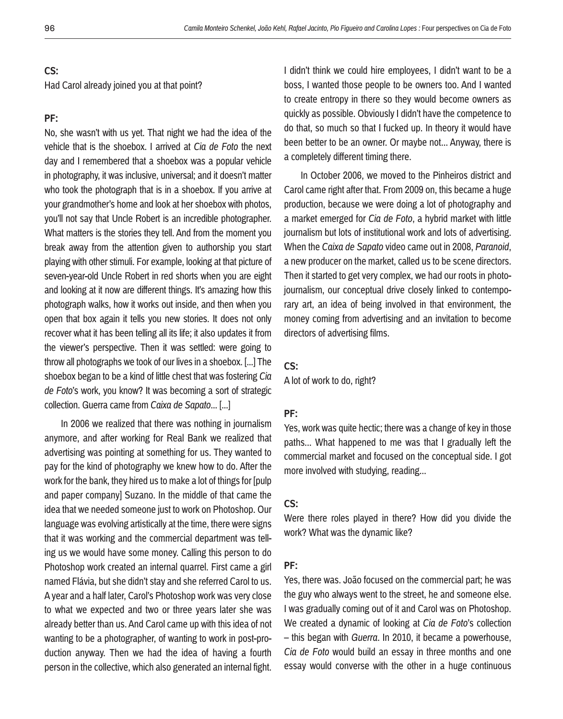Had Carol already joined you at that point?

#### **PF:**

No, she wasn't with us yet. That night we had the idea of the vehicle that is the shoebox. I arrived at *Cia de Foto* the next day and I remembered that a shoebox was a popular vehicle in photography, it was inclusive, universal; and it doesn't matter who took the photograph that is in a shoebox. If you arrive at your grandmother's home and look at her shoebox with photos, you'll not say that Uncle Robert is an incredible photographer. What matters is the stories they tell. And from the moment you break away from the attention given to authorship you start playing with other stimuli. For example, looking at that picture of seven-year-old Uncle Robert in red shorts when you are eight and looking at it now are different things. It's amazing how this photograph walks, how it works out inside, and then when you open that box again it tells you new stories. It does not only recover what it has been telling all its life; it also updates it from the viewer's perspective. Then it was settled: were going to throw all photographs we took of our lives in a shoebox. [...] The shoebox began to be a kind of little chest that was fostering *Cia de Foto*'s work, you know? It was becoming a sort of strategic collection. Guerra came from *Caixa de Sapato*... [...]

In 2006 we realized that there was nothing in journalism anymore, and after working for Real Bank we realized that advertising was pointing at something for us. They wanted to pay for the kind of photography we knew how to do. After the work for the bank, they hired us to make a lot of things for [pulp and paper company] Suzano. In the middle of that came the idea that we needed someone just to work on Photoshop. Our language was evolving artistically at the time, there were signs that it was working and the commercial department was telling us we would have some money. Calling this person to do Photoshop work created an internal quarrel. First came a girl named Flávia, but she didn't stay and she referred Carol to us. A year and a half later, Carol's Photoshop work was very close to what we expected and two or three years later she was already better than us. And Carol came up with this idea of not wanting to be a photographer, of wanting to work in post-production anyway. Then we had the idea of having a fourth person in the collective, which also generated an internal fight.

I didn't think we could hire employees, I didn't want to be a boss, I wanted those people to be owners too. And I wanted to create entropy in there so they would become owners as quickly as possible. Obviously I didn't have the competence to do that, so much so that I fucked up. In theory it would have been better to be an owner. Or maybe not... Anyway, there is a completely different timing there.

In October 2006, we moved to the Pinheiros district and Carol came right after that. From 2009 on, this became a huge production, because we were doing a lot of photography and a market emerged for *Cia de Foto*, a hybrid market with little journalism but lots of institutional work and lots of advertising. When the *Caixa de Sapato* video came out in 2008, *Paranoid*, a new producer on the market, called us to be scene directors. Then it started to get very complex, we had our roots in photojournalism, our conceptual drive closely linked to contemporary art, an idea of being involved in that environment, the money coming from advertising and an invitation to become directors of advertising films.

#### **CS:**

A lot of work to do, right?

### **PF:**

Yes, work was quite hectic; there was a change of key in those paths... What happened to me was that I gradually left the commercial market and focused on the conceptual side. I got more involved with studying, reading...

## **CS:**

Were there roles played in there? How did you divide the work? What was the dynamic like?

## **PF:**

Yes, there was. João focused on the commercial part; he was the guy who always went to the street, he and someone else. I was gradually coming out of it and Carol was on Photoshop. We created a dynamic of looking at *Cia de Foto*'s collection – this began with *Guerra*. In 2010, it became a powerhouse, *Cia de Foto* would build an essay in three months and one essay would converse with the other in a huge continuous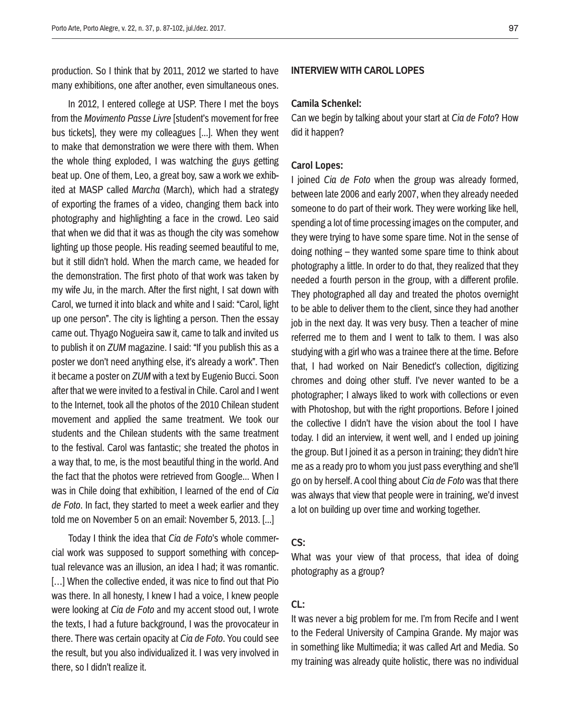production. So I think that by 2011, 2012 we started to have many exhibitions, one after another, even simultaneous ones.

In 2012, I entered college at USP. There I met the boys from the *Movimento Passe Livre* [student's movement for free bus tickets], they were my colleagues [...]. When they went to make that demonstration we were there with them. When the whole thing exploded, I was watching the guys getting beat up. One of them, Leo, a great boy, saw a work we exhibited at MASP called *Marcha* (March), which had a strategy of exporting the frames of a video, changing them back into photography and highlighting a face in the crowd. Leo said that when we did that it was as though the city was somehow lighting up those people. His reading seemed beautiful to me, but it still didn't hold. When the march came, we headed for the demonstration. The first photo of that work was taken by my wife Ju, in the march. After the first night, I sat down with Carol, we turned it into black and white and I said: "Carol, light up one person". The city is lighting a person. Then the essay came out. Thyago Nogueira saw it, came to talk and invited us to publish it on *ZUM* magazine. I said: "If you publish this as a poster we don't need anything else, it's already a work". Then it became a poster on *ZUM* with a text by Eugenio Bucci. Soon after that we were invited to a festival in Chile. Carol and I went to the Internet, took all the photos of the 2010 Chilean student movement and applied the same treatment. We took our students and the Chilean students with the same treatment to the festival. Carol was fantastic; she treated the photos in a way that, to me, is the most beautiful thing in the world. And the fact that the photos were retrieved from Google... When I was in Chile doing that exhibition, I learned of the end of *Cia de Foto*. In fact, they started to meet a week earlier and they told me on November 5 on an email: November 5, 2013. [...]

Today I think the idea that *Cia de Foto*'s whole commercial work was supposed to support something with conceptual relevance was an illusion, an idea I had; it was romantic. [...] When the collective ended, it was nice to find out that Pio was there. In all honesty, I knew I had a voice, I knew people were looking at *Cia de Foto* and my accent stood out, I wrote the texts, I had a future background, I was the provocateur in there. There was certain opacity at *Cia de Foto*. You could see the result, but you also individualized it. I was very involved in there, so I didn't realize it.

### **Interview with Carol Lopes**

#### **Camila Schenkel:**

Can we begin by talking about your start at *Cia de Foto*? How did it happen?

### **Carol Lopes:**

I joined *Cia de Foto* when the group was already formed, between late 2006 and early 2007, when they already needed someone to do part of their work. They were working like hell, spending a lot of time processing images on the computer, and they were trying to have some spare time. Not in the sense of doing nothing – they wanted some spare time to think about photography a little. In order to do that, they realized that they needed a fourth person in the group, with a different profile. They photographed all day and treated the photos overnight to be able to deliver them to the client, since they had another job in the next day. It was very busy. Then a teacher of mine referred me to them and I went to talk to them. I was also studying with a girl who was a trainee there at the time. Before that, I had worked on Nair Benedict's collection, digitizing chromes and doing other stuff. I've never wanted to be a photographer; I always liked to work with collections or even with Photoshop, but with the right proportions. Before I joined the collective I didn't have the vision about the tool I have today. I did an interview, it went well, and I ended up joining the group. But I joined it as a person in training; they didn't hire me as a ready pro to whom you just pass everything and she'll go on by herself. A cool thing about *Cia de Foto* was that there was always that view that people were in training, we'd invest a lot on building up over time and working together.

#### **CS:**

What was your view of that process, that idea of doing photography as a group?

### **CL:**

It was never a big problem for me. I'm from Recife and I went to the Federal University of Campina Grande. My major was in something like Multimedia; it was called Art and Media. So my training was already quite holistic, there was no individual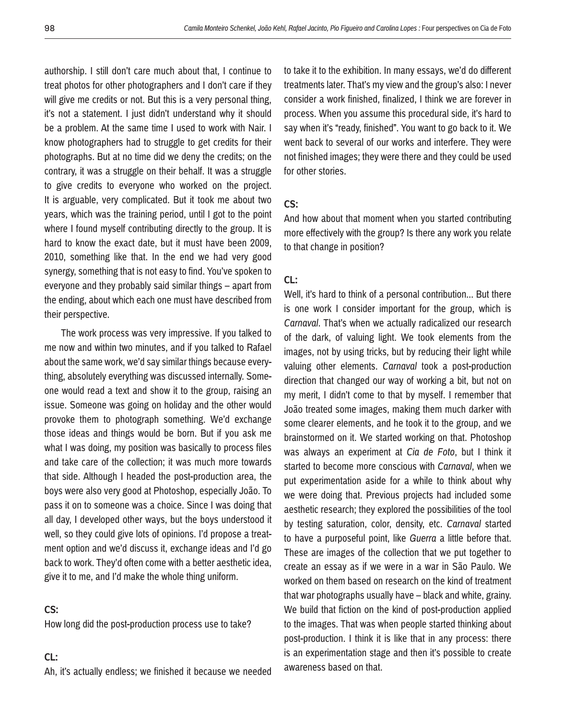authorship. I still don't care much about that, I continue to treat photos for other photographers and I don't care if they will give me credits or not. But this is a very personal thing, it's not a statement. I just didn't understand why it should be a problem. At the same time I used to work with Nair. I know photographers had to struggle to get credits for their photographs. But at no time did we deny the credits; on the contrary, it was a struggle on their behalf. It was a struggle to give credits to everyone who worked on the project. It is arguable, very complicated. But it took me about two years, which was the training period, until I got to the point where I found myself contributing directly to the group. It is hard to know the exact date, but it must have been 2009, 2010, something like that. In the end we had very good synergy, something that is not easy to find. You've spoken to everyone and they probably said similar things – apart from the ending, about which each one must have described from their perspective.

The work process was very impressive. If you talked to me now and within two minutes, and if you talked to Rafael about the same work, we'd say similar things because everything, absolutely everything was discussed internally. Someone would read a text and show it to the group, raising an issue. Someone was going on holiday and the other would provoke them to photograph something. We'd exchange those ideas and things would be born. But if you ask me what I was doing, my position was basically to process files and take care of the collection; it was much more towards that side. Although I headed the post-production area, the boys were also very good at Photoshop, especially João. To pass it on to someone was a choice. Since I was doing that all day, I developed other ways, but the boys understood it well, so they could give lots of opinions. I'd propose a treatment option and we'd discuss it, exchange ideas and I'd go back to work. They'd often come with a better aesthetic idea, give it to me, and I'd make the whole thing uniform.

## **CS:**

How long did the post-production process use to take?

#### **CL:**

Ah, it's actually endless; we finished it because we needed

to take it to the exhibition. In many essays, we'd do different treatments later. That's my view and the group's also: I never consider a work finished, finalized, I think we are forever in process. When you assume this procedural side, it's hard to say when it's "ready, finished". You want to go back to it. We went back to several of our works and interfere. They were not finished images; they were there and they could be used for other stories.

## **CS:**

And how about that moment when you started contributing more effectively with the group? Is there any work you relate to that change in position?

## **CL:**

Well, it's hard to think of a personal contribution... But there is one work I consider important for the group, which is *Carnaval*. That's when we actually radicalized our research of the dark, of valuing light. We took elements from the images, not by using tricks, but by reducing their light while valuing other elements. *Carnaval* took a post-production direction that changed our way of working a bit, but not on my merit, I didn't come to that by myself. I remember that João treated some images, making them much darker with some clearer elements, and he took it to the group, and we brainstormed on it. We started working on that. Photoshop was always an experiment at *Cia de Foto*, but I think it started to become more conscious with *Carnaval*, when we put experimentation aside for a while to think about why we were doing that. Previous projects had included some aesthetic research; they explored the possibilities of the tool by testing saturation, color, density, etc. *Carnaval* started to have a purposeful point, like *Guerra* a little before that. These are images of the collection that we put together to create an essay as if we were in a war in São Paulo. We worked on them based on research on the kind of treatment that war photographs usually have – black and white, grainy. We build that fiction on the kind of post-production applied to the images. That was when people started thinking about post-production. I think it is like that in any process: there is an experimentation stage and then it's possible to create awareness based on that.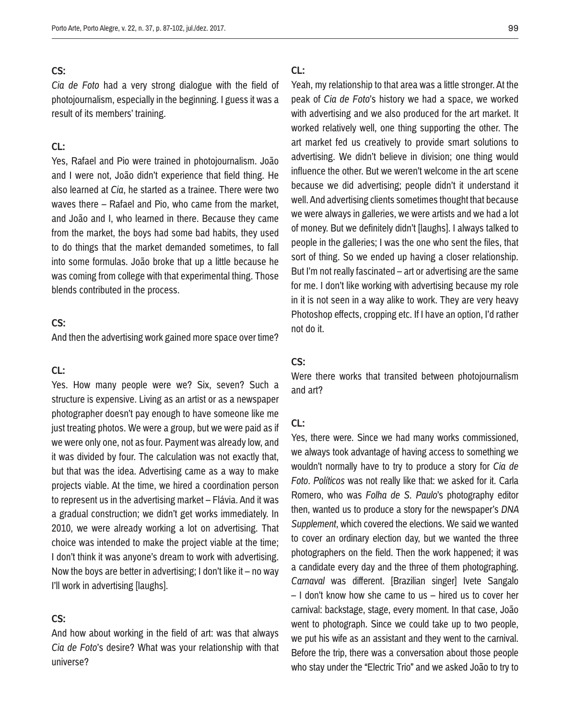*Cia de Foto* had a very strong dialogue with the field of photojournalism, especially in the beginning. I guess it was a result of its members' training.

## **CL:**

Yes, Rafael and Pio were trained in photojournalism. João and I were not, João didn't experience that field thing. He also learned at *Cia*, he started as a trainee. There were two waves there – Rafael and Pio, who came from the market, and João and I, who learned in there. Because they came from the market, the boys had some bad habits, they used to do things that the market demanded sometimes, to fall into some formulas. João broke that up a little because he was coming from college with that experimental thing. Those blends contributed in the process.

## **CS:**

And then the advertising work gained more space over time?

## **CL:**

Yes. How many people were we? Six, seven? Such a structure is expensive. Living as an artist or as a newspaper photographer doesn't pay enough to have someone like me just treating photos. We were a group, but we were paid as if we were only one, not as four. Payment was already low, and it was divided by four. The calculation was not exactly that, but that was the idea. Advertising came as a way to make projects viable. At the time, we hired a coordination person to represent us in the advertising market – Flávia. And it was a gradual construction; we didn't get works immediately. In 2010, we were already working a lot on advertising. That choice was intended to make the project viable at the time; I don't think it was anyone's dream to work with advertising. Now the boys are better in advertising; I don't like it – no way I'll work in advertising [laughs].

## **CS:**

And how about working in the field of art: was that always *Cia de Foto*'s desire? What was your relationship with that universe?

### **CL:**

Yeah, my relationship to that area was a little stronger. At the peak of *Cia de Foto*'s history we had a space, we worked with advertising and we also produced for the art market. It worked relatively well, one thing supporting the other. The art market fed us creatively to provide smart solutions to advertising. We didn't believe in division; one thing would influence the other. But we weren't welcome in the art scene because we did advertising; people didn't it understand it well. And advertising clients sometimes thought that because we were always in galleries, we were artists and we had a lot of money. But we definitely didn't [laughs]. I always talked to people in the galleries; I was the one who sent the files, that sort of thing. So we ended up having a closer relationship. But I'm not really fascinated – art or advertising are the same for me. I don't like working with advertising because my role in it is not seen in a way alike to work. They are very heavy Photoshop effects, cropping etc. If I have an option, I'd rather not do it.

### **CS:**

Were there works that transited between photojournalism and art?

#### **CL:**

Yes, there were. Since we had many works commissioned, we always took advantage of having access to something we wouldn't normally have to try to produce a story for *Cia de Foto*. *Políticos* was not really like that: we asked for it. Carla Romero, who was *Folha de S. Paulo*'s photography editor then, wanted us to produce a story for the newspaper's *DNA Supplement*, which covered the elections. We said we wanted to cover an ordinary election day, but we wanted the three photographers on the field. Then the work happened; it was a candidate every day and the three of them photographing. *Carnaval* was different. [Brazilian singer] Ivete Sangalo – I don't know how she came to us – hired us to cover her carnival: backstage, stage, every moment. In that case, João went to photograph. Since we could take up to two people, we put his wife as an assistant and they went to the carnival. Before the trip, there was a conversation about those people who stay under the "Electric Trio" and we asked João to try to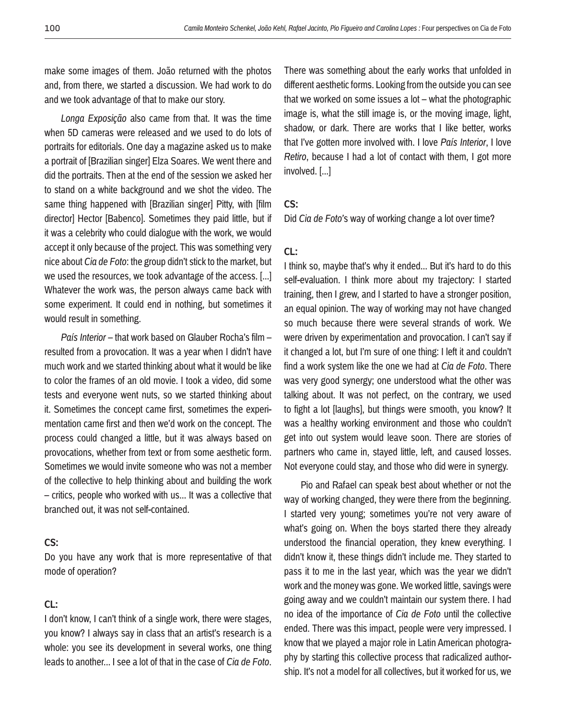make some images of them. João returned with the photos and, from there, we started a discussion. We had work to do and we took advantage of that to make our story.

*Longa Exposição* also came from that. It was the time when 5D cameras were released and we used to do lots of portraits for editorials. One day a magazine asked us to make a portrait of [Brazilian singer] Elza Soares. We went there and did the portraits. Then at the end of the session we asked her to stand on a white background and we shot the video. The same thing happened with [Brazilian singer] Pitty, with [film] director] Hector [Babenco]. Sometimes they paid little, but if it was a celebrity who could dialogue with the work, we would accept it only because of the project. This was something very nice about *Cia de Foto*: the group didn't stick to the market, but we used the resources, we took advantage of the access. [...] Whatever the work was, the person always came back with some experiment. It could end in nothing, but sometimes it would result in something.

*País Interior* – that work based on Glauber Rocha's film – resulted from a provocation. It was a year when I didn't have much work and we started thinking about what it would be like to color the frames of an old movie. I took a video, did some tests and everyone went nuts, so we started thinking about it. Sometimes the concept came first, sometimes the experimentation came first and then we'd work on the concept. The process could changed a little, but it was always based on provocations, whether from text or from some aesthetic form. Sometimes we would invite someone who was not a member of the collective to help thinking about and building the work – critics, people who worked with us... It was a collective that branched out, it was not self-contained.

## **CS:**

Do you have any work that is more representative of that mode of operation?

## **CL:**

I don't know, I can't think of a single work, there were stages, you know? I always say in class that an artist's research is a whole: you see its development in several works, one thing leads to another... I see a lot of that in the case of *Cia de Foto*. There was something about the early works that unfolded in different aesthetic forms. Looking from the outside you can see that we worked on some issues a lot – what the photographic image is, what the still image is, or the moving image, light, shadow, or dark. There are works that I like better, works that I've gotten more involved with. I love *País Interior*, I love *Retiro*, because I had a lot of contact with them, I got more involved. [...]

## **CS:**

Did *Cia de Foto'*s way of working change a lot over time?

## **CL:**

I think so, maybe that's why it ended... But it's hard to do this self-evaluation. I think more about my trajectory: I started training, then I grew, and I started to have a stronger position, an equal opinion. The way of working may not have changed so much because there were several strands of work. We were driven by experimentation and provocation. I can't say if it changed a lot, but I'm sure of one thing: I left it and couldn't find a work system like the one we had at *Cia de Foto*. There was very good synergy; one understood what the other was talking about. It was not perfect, on the contrary, we used to fight a lot [laughs], but things were smooth, you know? It was a healthy working environment and those who couldn't get into out system would leave soon. There are stories of partners who came in, stayed little, left, and caused losses. Not everyone could stay, and those who did were in synergy.

Pio and Rafael can speak best about whether or not the way of working changed, they were there from the beginning. I started very young; sometimes you're not very aware of what's going on. When the boys started there they already understood the financial operation, they knew everything. I didn't know it, these things didn't include me. They started to pass it to me in the last year, which was the year we didn't work and the money was gone. We worked little, savings were going away and we couldn't maintain our system there. I had no idea of the importance of *Cia de Foto* until the collective ended. There was this impact, people were very impressed. I know that we played a major role in Latin American photography by starting this collective process that radicalized authorship. It's not a model for all collectives, but it worked for us, we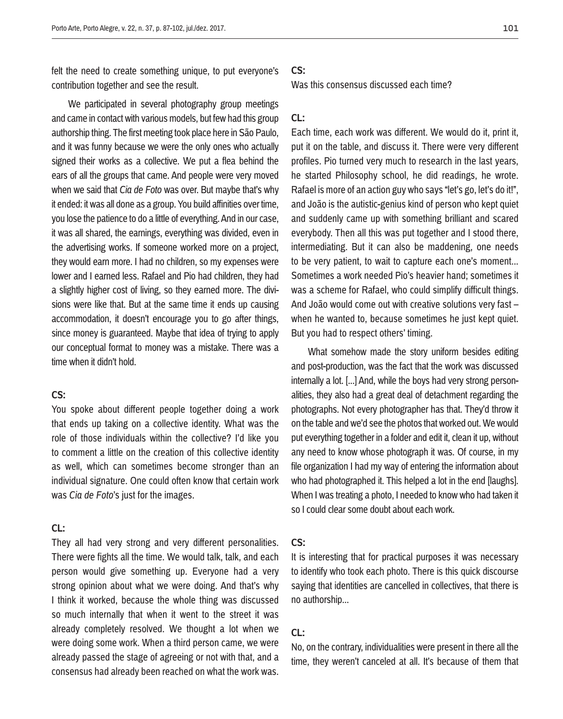felt the need to create something unique, to put everyone's contribution together and see the result.

We participated in several photography group meetings and came in contact with various models, but few had this group authorship thing. The first meeting took place here in São Paulo, and it was funny because we were the only ones who actually signed their works as a collective. We put a flea behind the ears of all the groups that came. And people were very moved when we said that *Cia de Foto* was over. But maybe that's why it ended: it was all done as a group. You build affinities over time, you lose the patience to do a little of everything. And in our case, it was all shared, the earnings, everything was divided, even in the advertising works. If someone worked more on a project, they would earn more. I had no children, so my expenses were lower and I earned less. Rafael and Pio had children, they had a slightly higher cost of living, so they earned more. The divisions were like that. But at the same time it ends up causing accommodation, it doesn't encourage you to go after things, since money is guaranteed. Maybe that idea of trying to apply our conceptual format to money was a mistake. There was a time when it didn't hold.

## **CS:**

You spoke about different people together doing a work that ends up taking on a collective identity. What was the role of those individuals within the collective? I'd like you to comment a little on the creation of this collective identity as well, which can sometimes become stronger than an individual signature. One could often know that certain work was *Cia de Foto*'s just for the images.

## **CL:**

They all had very strong and very different personalities. There were fights all the time. We would talk, talk, and each person would give something up. Everyone had a very strong opinion about what we were doing. And that's why I think it worked, because the whole thing was discussed so much internally that when it went to the street it was already completely resolved. We thought a lot when we were doing some work. When a third person came, we were already passed the stage of agreeing or not with that, and a consensus had already been reached on what the work was.

### **CS:**

Was this consensus discussed each time?

## **CL:**

Each time, each work was different. We would do it, print it, put it on the table, and discuss it. There were very different profiles. Pio turned very much to research in the last years, he started Philosophy school, he did readings, he wrote. Rafael is more of an action guy who says "let's go, let's do it!", and João is the autistic-genius kind of person who kept quiet and suddenly came up with something brilliant and scared everybody. Then all this was put together and I stood there, intermediating. But it can also be maddening, one needs to be very patient, to wait to capture each one's moment... Sometimes a work needed Pio's heavier hand; sometimes it was a scheme for Rafael, who could simplify difficult things. And João would come out with creative solutions very fast – when he wanted to, because sometimes he just kept quiet. But you had to respect others' timing.

What somehow made the story uniform besides editing and post-production, was the fact that the work was discussed internally a lot. [...] And, while the boys had very strong personalities, they also had a great deal of detachment regarding the photographs. Not every photographer has that. They'd throw it on the table and we'd see the photos that worked out. We would put everything together in a folder and edit it, clean it up, without any need to know whose photograph it was. Of course, in my file organization I had my way of entering the information about who had photographed it. This helped a lot in the end [laughs]. When I was treating a photo, I needed to know who had taken it so I could clear some doubt about each work.

### **CS:**

It is interesting that for practical purposes it was necessary to identify who took each photo. There is this quick discourse saying that identities are cancelled in collectives, that there is no authorship...

## **CL:**

No, on the contrary, individualities were present in there all the time, they weren't canceled at all. It's because of them that